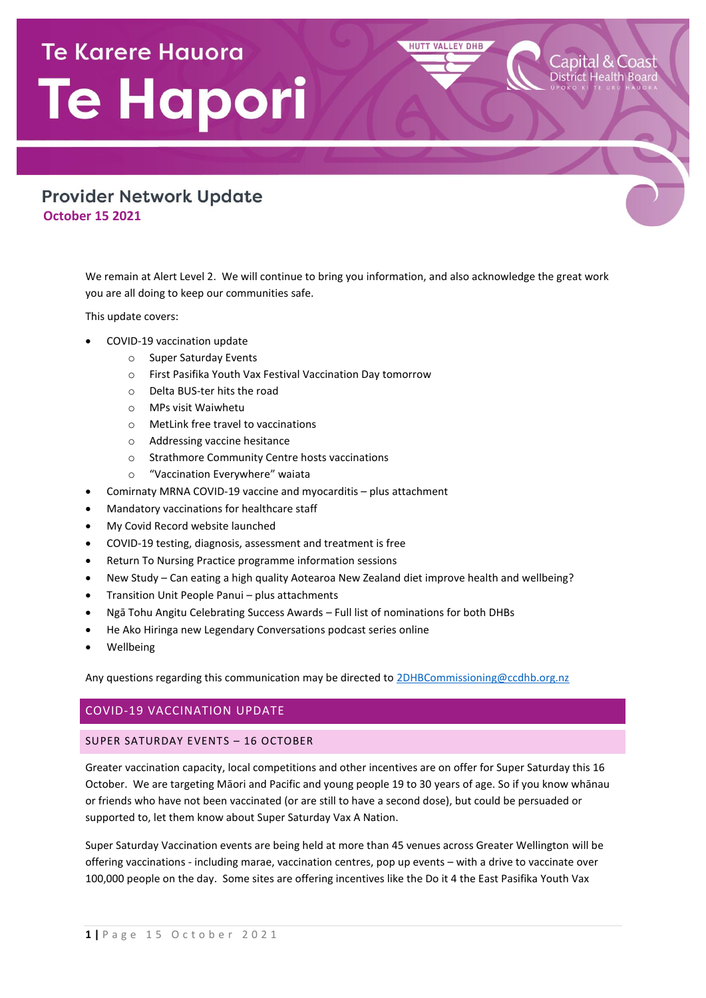# **Te Karere Hauora** Te Hapori

## **Provider Network Update October 15 2021**

We remain at Alert Level 2. We will continue to bring you information, and also acknowledge the great work you are all doing to keep our communities safe.

**HUTT VALLEY DHB** 

This update covers:

- COVID-19 vaccination update
	- o Super Saturday Events
	- o First Pasifika Youth Vax Festival Vaccination Day tomorrow
	- o Delta BUS-ter hits the road
	- o MPs visit Waiwhetu
	- o MetLink free travel to vaccinations
	- o Addressing vaccine hesitance
	- o Strathmore Community Centre hosts vaccinations
	- o "Vaccination Everywhere" waiata
- Comirnaty MRNA COVID-19 vaccine and myocarditis plus attachment
- Mandatory vaccinations for healthcare staff
- My Covid Record website launched
- COVID-19 testing, diagnosis, assessment and treatment is free
- Return To Nursing Practice programme information sessions
- New Study Can eating a high quality Aotearoa New Zealand diet improve health and wellbeing?
- Transition Unit People Panui plus attachments
- Ngā Tohu Angitu Celebrating Success Awards Full list of nominations for both DHBs
- He Ako Hiringa new Legendary Conversations podcast series online
- Wellbeing

Any questions regarding this communication may be directed t[o 2DHBCommissioning@ccdhb.org.nz](mailto:2DHBCommissioning@ccdhb.org.nz)

## COVID-19 VACCINATION UPDATE

#### SUPER SATURDAY EVENTS – 16 OCTOBER

Greater vaccination capacity, local competitions and other incentives are on offer for Super Saturday this 16 October. We are targeting Māori and Pacific and young people 19 to 30 years of age. So if you know whānau or friends who have not been vaccinated (or are still to have a second dose), but could be persuaded or supported to, let them know about Super Saturday Vax A Nation.

Super Saturday Vaccination events are being held at more than 45 venues across Greater Wellington will be offering vaccinations - including marae, vaccination centres, pop up events – with a drive to vaccinate over 100,000 people on the day. Some sites are offering incentives like the Do it 4 the East Pasifika Youth Vax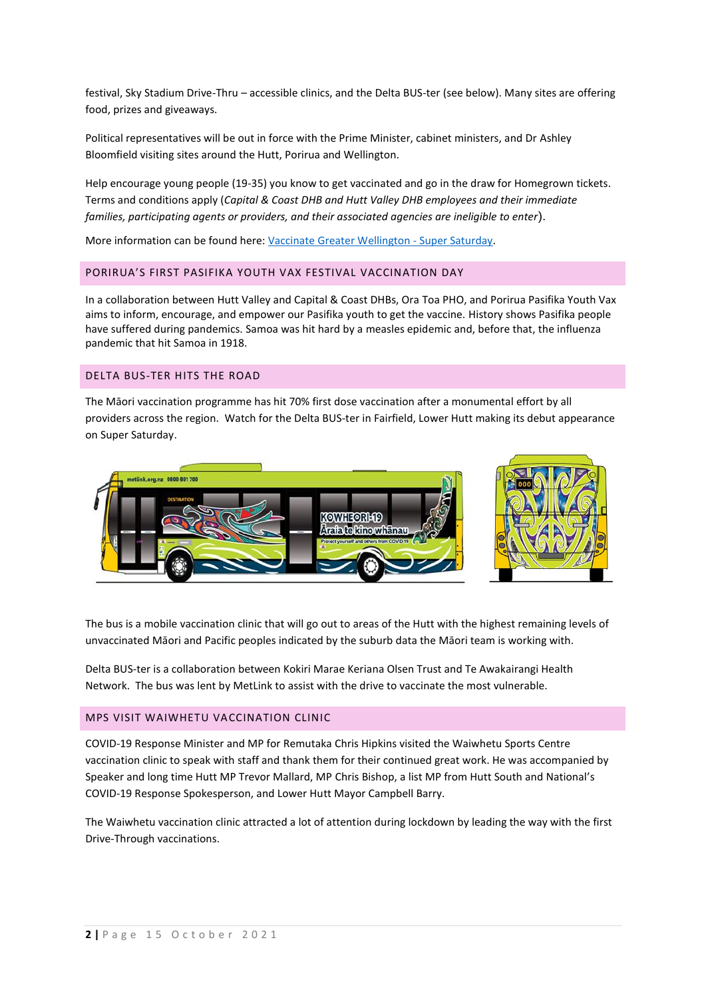festival, Sky Stadium Drive-Thru – accessible clinics, and the Delta BUS-ter (see below). Many sites are offering food, prizes and giveaways.

Political representatives will be out in force with the Prime Minister, cabinet ministers, and Dr Ashley Bloomfield visiting sites around the Hutt, Porirua and Wellington.

Help encourage young people (19-35) you know to get vaccinated and go in the draw for Homegrown tickets. Terms and conditions apply (*Capital & Coast DHB and Hutt Valley DHB employees and their immediate families, participating agents or providers, and their associated agencies are ineligible to enter*).

More information can be found here: [Vaccinate Greater Wellington -](https://www.rph.org.nz/public-health-topics/vaccinate-greater-wellington/super-saturday/) Super Saturday.

#### PORIRUA'S FIRST PASIFIKA YOUTH VAX FESTIVAL VACCINATION DAY

In a collaboration between Hutt Valley and Capital & Coast DHBs, Ora Toa PHO, and Porirua Pasifika Youth Vax aims to inform, encourage, and empower our Pasifika youth to get the vaccine. History shows Pasifika people have suffered during pandemics. Samoa was hit hard by a measles epidemic and, before that, the influenza pandemic that hit Samoa in 1918.

#### DELTA BUS-TER HITS THE ROAD

The Māori vaccination programme has hit 70% first dose vaccination after a monumental effort by all providers across the region. Watch for the Delta BUS-ter in Fairfield, Lower Hutt making its debut appearance on Super Saturday.



The bus is a mobile vaccination clinic that will go out to areas of the Hutt with the highest remaining levels of unvaccinated Māori and Pacific peoples indicated by the suburb data the Māori team is working with.

Delta BUS-ter is a collaboration between Kokiri Marae Keriana Olsen Trust and Te Awakairangi Health Network. The bus was lent by MetLink to assist with the drive to vaccinate the most vulnerable.

#### MPS VISIT WAIWHETU VACCINATION CLINIC

COVID-19 Response Minister and MP for Remutaka Chris Hipkins visited the Waiwhetu Sports Centre vaccination clinic to speak with staff and thank them for their continued great work. He was accompanied by Speaker and long time Hutt MP Trevor Mallard, MP Chris Bishop, a list MP from Hutt South and National's COVID-19 Response Spokesperson, and Lower Hutt Mayor Campbell Barry.

The Waiwhetu vaccination clinic attracted a lot of attention during lockdown by leading the way with the first Drive-Through vaccinations.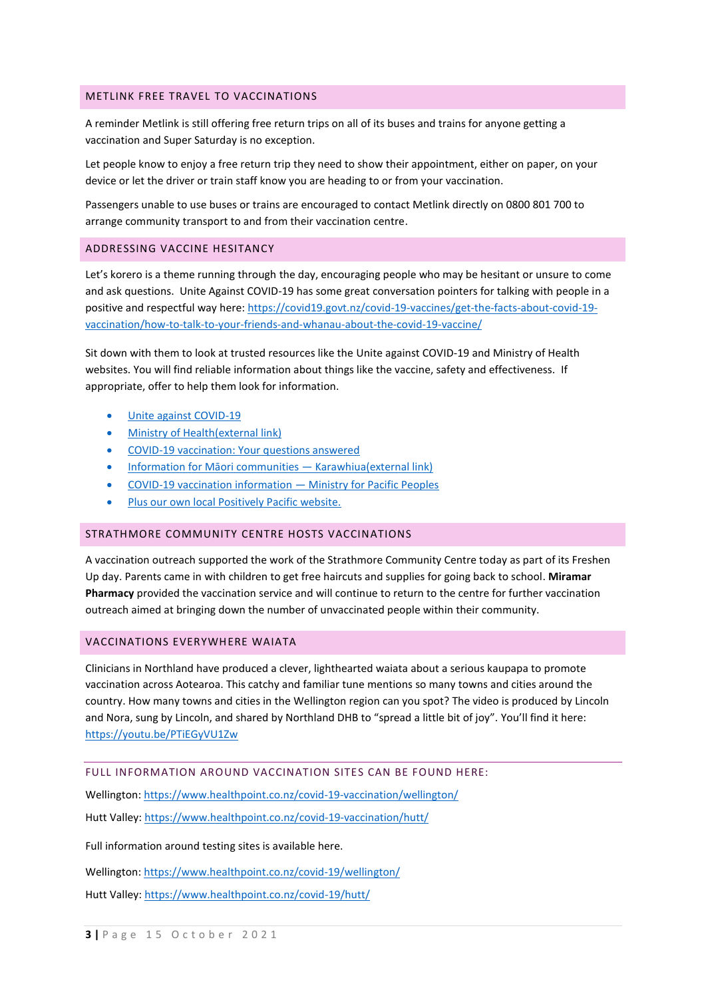#### METLINK FREE TRAVEL TO VACCINATIONS

A reminder Metlink is still offering free return trips on all of its buses and trains for anyone getting a vaccination and Super Saturday is no exception.

Let people know to enjoy a free return trip they need to show their appointment, either on paper, on your device or let the driver or train staff know you are heading to or from your vaccination.

Passengers unable to use buses or trains are encouraged to contact Metlink directly on 0800 801 700 to arrange community transport to and from their vaccination centre.

#### ADDRESSING VACCINE HESITANCY

Let's korero is a theme running through the day, encouraging people who may be hesitant or unsure to come and ask questions. Unite Against COVID-19 has some great conversation pointers for talking with people in a positive and respectful way here: [https://covid19.govt.nz/covid-19-vaccines/get-the-facts-about-covid-19](https://covid19.govt.nz/covid-19-vaccines/get-the-facts-about-covid-19-vaccination/how-to-talk-to-your-friends-and-whanau-about-the-covid-19-vaccine/) [vaccination/how-to-talk-to-your-friends-and-whanau-about-the-covid-19-vaccine/](https://covid19.govt.nz/covid-19-vaccines/get-the-facts-about-covid-19-vaccination/how-to-talk-to-your-friends-and-whanau-about-the-covid-19-vaccine/)

Sit down with them to look at trusted resources like the Unite against COVID-19 and Ministry of Health websites. You will find reliable information about things like the vaccine, safety and effectiveness. If appropriate, offer to help them look for information.

- [Unite against COVID-19](https://covid19.govt.nz/covid-19-vaccines/)
- [Ministry of Health\(external link\)](https://www.health.govt.nz/our-work/diseases-and-conditions/covid-19-novel-coronavirus/covid-19-vaccines)
- [COVID-19 vaccination: Your questions answered](https://covid19.govt.nz/covid-19-vaccines/get-the-facts-about-covid-19-vaccination/covid-19-vaccination-your-questions-answered/)
- [Information for Māori communities —](https://karawhiua.nz/) Karawhiua(external link)
- [COVID-19 vaccination information](https://www.mpp.govt.nz/covid-19/vaccination/)  Ministry for Pacific Peoples
- [Plus our own local Positively Pacific website.](https://positivelypacific.org.nz/)

#### STRATHMORE COMMUNITY CENTRE HOSTS VACCINATIONS

A vaccination outreach supported the work of the Strathmore Community Centre today as part of its Freshen Up day. Parents came in with children to get free haircuts and supplies for going back to school. **Miramar Pharmacy** provided the vaccination service and will continue to return to the centre for further vaccination outreach aimed at bringing down the number of unvaccinated people within their community.

#### VACCINATIONS EVERYWHERE WAIATA

Clinicians in Northland have produced a clever, lighthearted waiata about a serious kaupapa to promote vaccination across Aotearoa. This catchy and familiar tune mentions so many towns and cities around the country. How many towns and cities in the Wellington region can you spot? The video is produced by Lincoln and Nora, sung by Lincoln, and shared by Northland DHB to "spread a little bit of joy". You'll find it here: [https://youtu.be/PTiEGyVU1Zw](https://urldefense.com/v3/__https:/youtu.be/PTiEGyVU1Zw__;!!A3teau8g8Q!Fcyrpwfml5triYeMc0YoM5am4AHYUGaAGUnUnT3HOK2Kc4Eevde2A5zTphlLrpEqzZNDSw$)

#### FULL INFORMATION AROUND VACCINATION SITES CAN BE FOUND HERE:

Wellington[: https://www.healthpoint.co.nz/covid-19-vaccination/wellington/](https://www.healthpoint.co.nz/covid-19-vaccination/wellington/) Hutt Valley:<https://www.healthpoint.co.nz/covid-19-vaccination/hutt/>

Full information around testing sites is available here.

Wellington[: https://www.healthpoint.co.nz/covid-19/wellington/](https://www.healthpoint.co.nz/covid-19/wellington/)

Hutt Valley:<https://www.healthpoint.co.nz/covid-19/hutt/>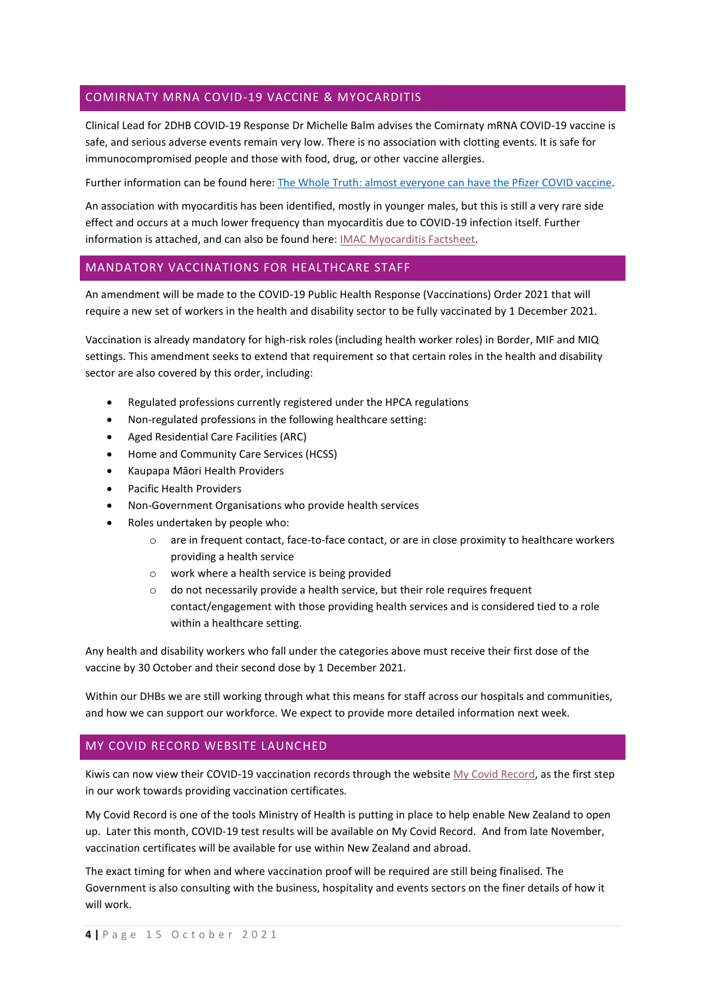## COMIRNATY MRNA COVID-19 VACCINE & MYOCARDITIS

Clinical Lead for 2DHB COVID-19 Response Dr Michelle Balm advises the Comirnaty mRNA COVID-19 vaccine is safe, and serious adverse events remain very low. There is no association with clotting events. It is safe for immunocompromised people and those with food, drug, or other vaccine allergies.

Further information can be found here: [The Whole Truth: almost everyone can have the Pfizer COVID vaccine.](https://interactives.stuff.co.nz/2021/the-whole-truth-covid-19-vaccine/#/1204733915/almost-everyone-can-have-the-pfizer-covid-19-vaccine)

An association with myocarditis has been identified, mostly in younger males, but this is still a very rare side effect and occurs at a much lower frequency than myocarditis due to COVID-19 infection itself. Further information is attached, and can also be found here: [IMAC Myocarditis Factsheet.](https://covid.immune.org.nz/sites/default/files/2021-09/Myocarditis%20and%20the%20mRNA%20COVID-19%20vaccine%20in%20New%20Zealand%20-%20information%20for%20health%20professionals.pdf)

#### MANDATORY VACCINATIONS FOR HEALTHCARE STAFF

An amendment will be made to the COVID-19 Public Health Response (Vaccinations) Order 2021 that will require a new set of workers in the health and disability sector to be fully vaccinated by 1 December 2021.

Vaccination is already mandatory for high-risk roles (including health worker roles) in Border, MIF and MIQ settings. This amendment seeks to extend that requirement so that certain roles in the health and disability sector are also covered by this order, including:

- Regulated professions currently registered under the HPCA regulations
- Non-regulated professions in the following healthcare setting:
- Aged Residential Care Facilities (ARC)
- Home and Community Care Services (HCSS)
- Kaupapa Māori Health Providers
- Pacific Health Providers
- Non-Government Organisations who provide health services
- Roles undertaken by people who:
	- o are in frequent contact, face-to-face contact, or are in close proximity to healthcare workers providing a health service
	- o work where a health service is being provided
	- o do not necessarily provide a health service, but their role requires frequent contact/engagement with those providing health services and is considered tied to a role within a healthcare setting.

Any health and disability workers who fall under the categories above must receive their first dose of the vaccine by 30 October and their second dose by 1 December 2021.

Within our DHBs we are still working through what this means for staff across our hospitals and communities, and how we can support our workforce. We expect to provide more detailed information next week.

#### MY COVID RECORD WEBSITE LAUNCHED

Kiwis can now view their COVID-19 vaccination records through the website [My Covid Record,](https://app.covid19.health.nz/) as the first step in our work towards providing vaccination certificates.

My Covid Record is one of the tools Ministry of Health is putting in place to help enable New Zealand to open up. Later this month, COVID-19 test results will be available on My Covid Record. And from late November, vaccination certificates will be available for use within New Zealand and abroad.

The exact timing for when and where vaccination proof will be required are still being finalised. The Government is also consulting with the business, hospitality and events sectors on the finer details of how it will work.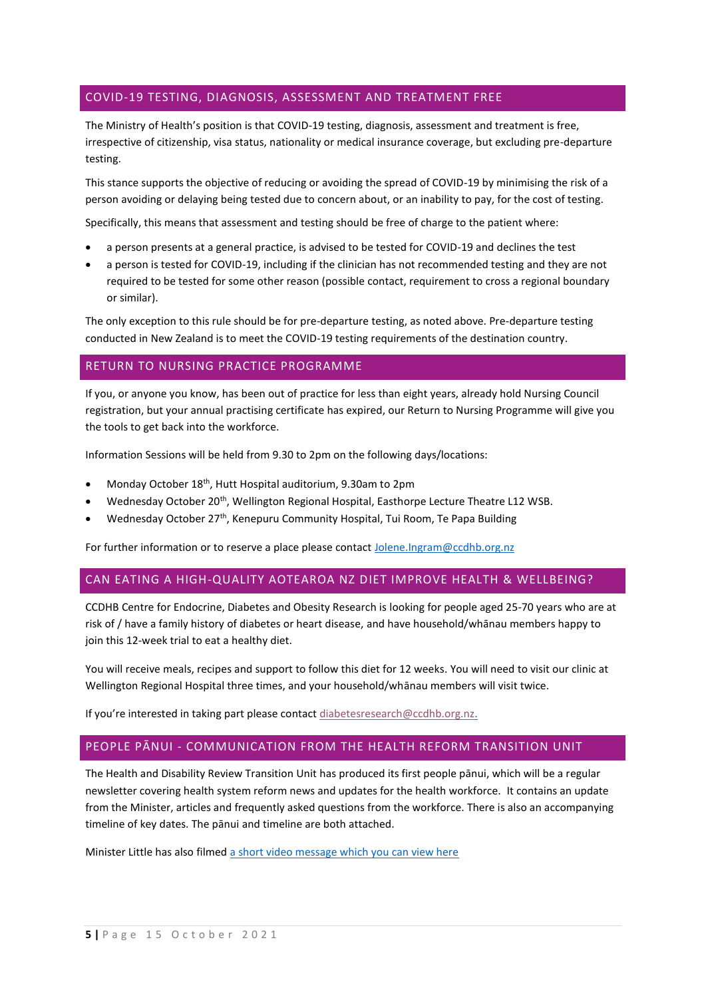## COVID-19 TESTING, DIAGNOSIS, ASSESSMENT AND TREATMENT FREE

The Ministry of Health's position is that COVID-19 testing, diagnosis, assessment and treatment is free, irrespective of citizenship, visa status, nationality or medical insurance coverage, but excluding pre-departure testing.

This stance supports the objective of reducing or avoiding the spread of COVID-19 by minimising the risk of a person avoiding or delaying being tested due to concern about, or an inability to pay, for the cost of testing.

Specifically, this means that assessment and testing should be free of charge to the patient where:

- a person presents at a general practice, is advised to be tested for COVID-19 and declines the test
- a person is tested for COVID-19, including if the clinician has not recommended testing and they are not required to be tested for some other reason (possible contact, requirement to cross a regional boundary or similar).

The only exception to this rule should be for pre-departure testing, as noted above. Pre-departure testing conducted in New Zealand is to meet the COVID-19 testing requirements of the destination country.

## RETURN TO NURSING PRACTICE PROGRAMME

If you, or anyone you know, has been out of practice for less than eight years, already hold Nursing Council registration, but your annual practising certificate has expired, our Return to Nursing Programme will give you the tools to get back into the workforce.

Information Sessions will be held from 9.30 to 2pm on the following days/locations:

- Monday October 18<sup>th</sup>, Hutt Hospital auditorium, 9.30am to 2pm
- Wednesday October 20<sup>th</sup>, Wellington Regional Hospital, Easthorpe Lecture Theatre L12 WSB.
- Wednesday October 27<sup>th</sup>, Kenepuru Community Hospital, Tui Room, Te Papa Building

For further information or to reserve a place please contact [Jolene.Ingram@ccdhb.org.nz](mailto:Jolene.Ingram@ccdhb.org.nz)

## CAN EATING A HIGH-QUALITY AOTEAROA NZ DIET IMPROVE HEALTH & WELLBEING?

CCDHB Centre for Endocrine, Diabetes and Obesity Research is looking for people aged 25-70 years who are at risk of / have a family history of diabetes or heart disease, and have household/whānau members happy to join this 12-week trial to eat a healthy diet.

You will receive meals, recipes and support to follow this diet for 12 weeks. You will need to visit our clinic at Wellington Regional Hospital three times, and your household/whānau members will visit twice.

If you're interested in taking part please contac[t diabetesresearch@ccdhb.org.nz.](mailto:diabetesresearch@ccdhb.org.nz)

### PEOPLE PĀNUI - COMMUNICATION FROM THE HEALTH REFORM TRANSITION UNIT

The Health and Disability Review Transition Unit has produced its first people pānui, which will be a regular newsletter covering health system reform news and updates for the health workforce. It contains an update from the Minister, articles and frequently asked questions from the workforce. There is also an accompanying timeline of key dates. The pānui and timeline are both attached.

Minister Little has also filmed [a short video message which you can view here](https://vimeo.com/630399622)